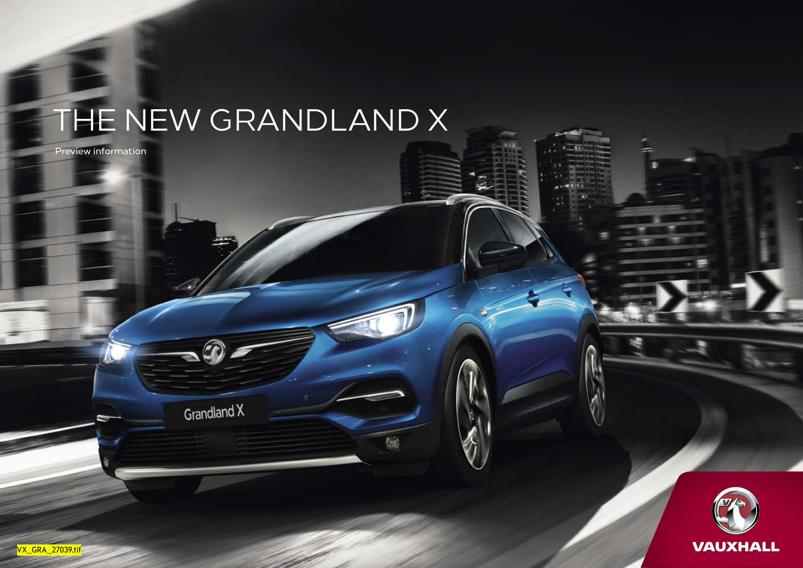### THE NEW GRANDLAND X

Preview information

Grandland X

儒



æ

VX\_GRA\_27039.tif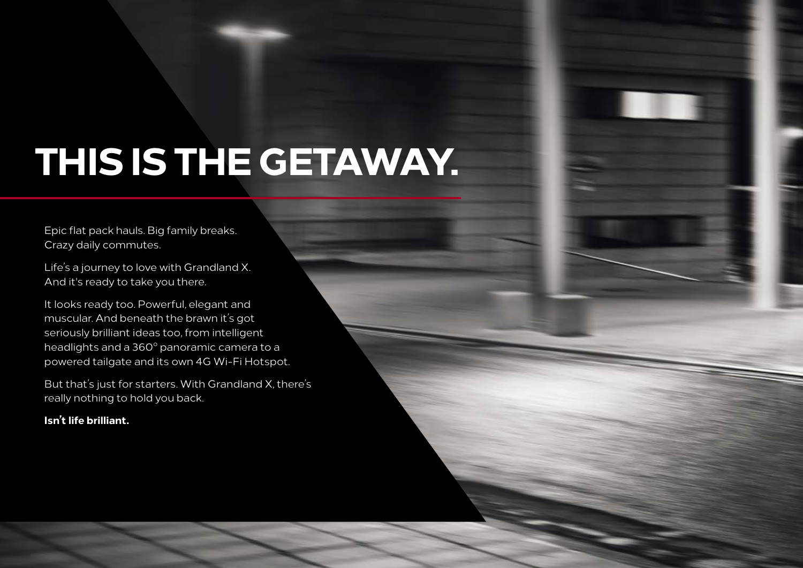## **THIS IS THE GETAWAY.**

Epic flat pack hauls. Big family breaks. Crazy daily commutes.

Life's a journey to love with Grandland X. And it's ready to take you there.

It looks ready too. Powerful, elegant and muscular. And beneath the brawn it's got seriously brilliant ideas too, from intelligent headlights and a 360° panoramic camera to a powered tailgate and its own 4G Wi-Fi Hotspot.

But that's just for starters. With Grandland X, there's really nothing to hold you back.

#### **Isn't life brilliant.**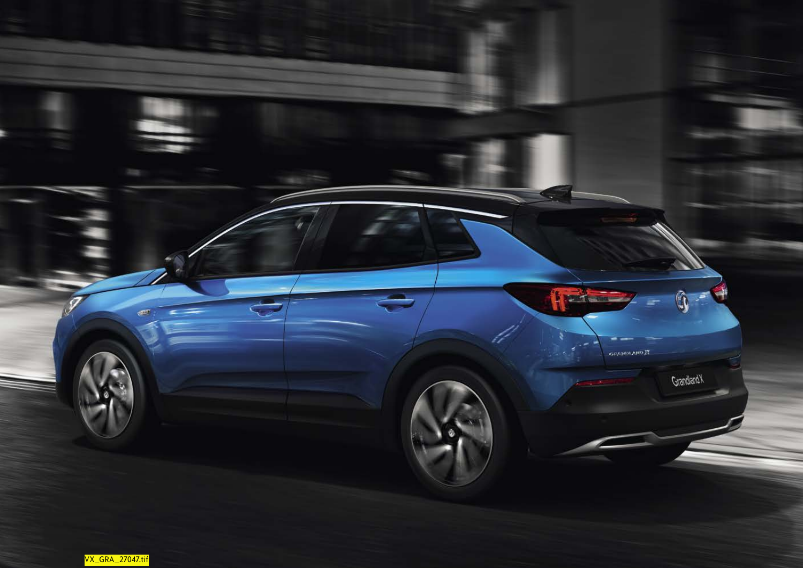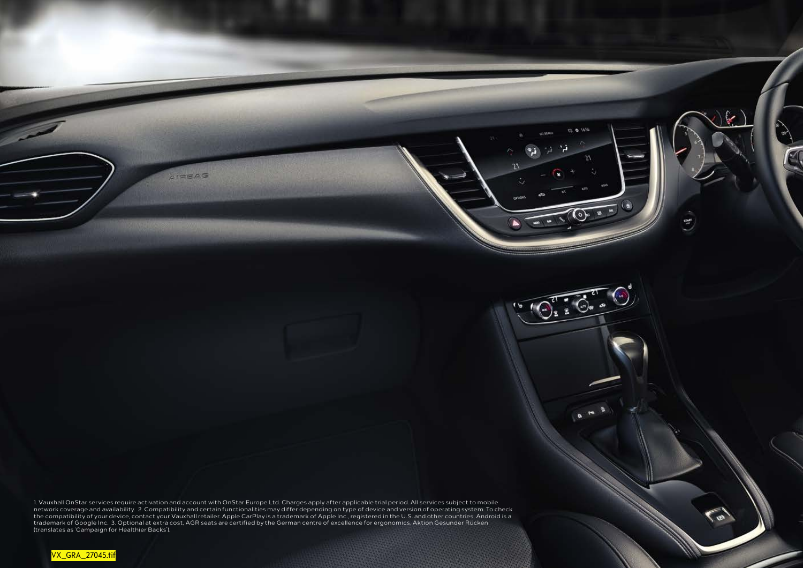1. Vauxhall OnStar services require activation and account with OnStar Europe Ltd. Charges apply after applicable trial period. All services subject to mobile network coverage and availability. 2. Compatibility and certain functionalities may differ depending on type of device and version of operating system. To check<br>the compatibility of your device, contact your Vauxhall retai (translates as 'Campaign for Healthier Backs').

 $21200$ 

 $dM$  of  $\bar{D}$ 

n.

 $(\circ)$ 

 $\sqrt{9.56.6}$ 

 $\overline{\bullet}$ 

 $\odot^4$ 

rue<br>...

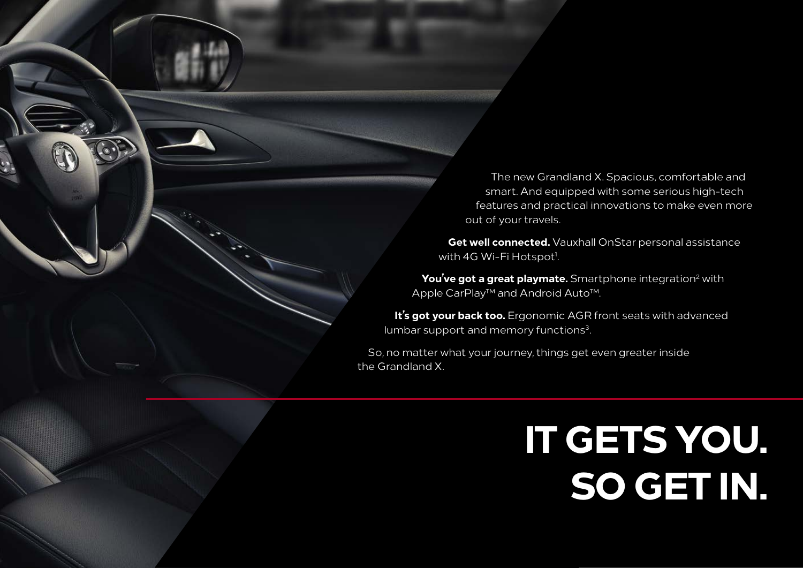The new Grandland X. Spacious, comfortable and smart. And equipped with some serious high-tech features and practical innovations to make even more out of your travels.

**Get well connected.** Vauxhall OnStar personal assistance with 4G Wi-Fi Hotspot<sup>1</sup>.

You've got a great playmate. Smartphone integration<sup>2</sup> with Apple CarPlay™ and Android Auto™.

**It's got your back too.** Ergonomic AGR front seats with advanced lumbar support and memory functions<sup>3</sup>.

So, no matter what your journey, things get even greater inside the Grandland X.

# **IT GETS YOU. SO GET IN.**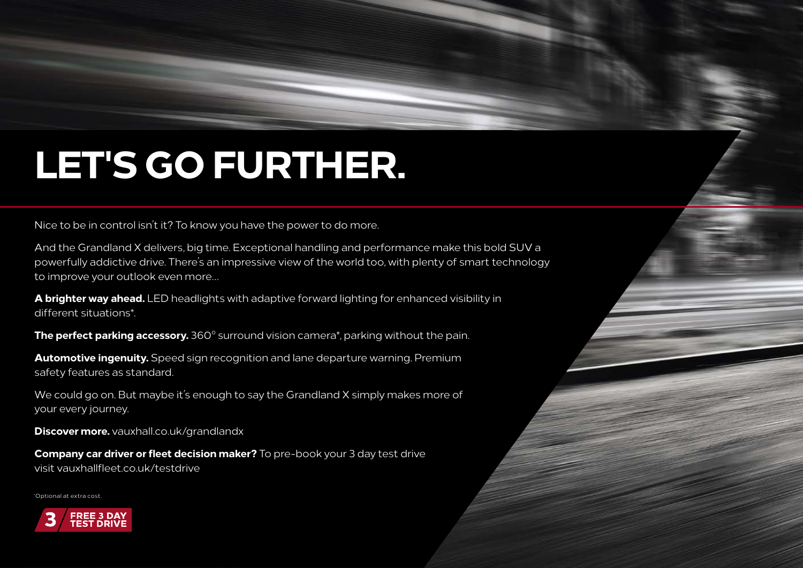## **LET'S GO FURTHER.**

Nice to be in control isn't it? To know you have the power to do more.

And the Grandland X delivers, big time. Exceptional handling and performance make this bold SUV a powerfully addictive drive. There's an impressive view of the world too, with plenty of smart technology to improve your outlook even more…

**A brighter way ahead.** LED headlights with adaptive forward lighting for enhanced visibility in different situations\*.

**The perfect parking accessory.** 360° surround vision camera\*, parking without the pain.

**Automotive ingenuity.** Speed sign recognition and lane departure warning. Premium safety features as standard.

We could go on. But maybe it's enough to say the Grandland X simply makes more of your every journey.

**Discover more.** vauxhall.co.uk/grandlandx

**Company car driver or fleet decision maker?** To pre-book your 3 day test drive visit vauxhallfleet.co.uk/testdrive

\* Optional at extra cost.

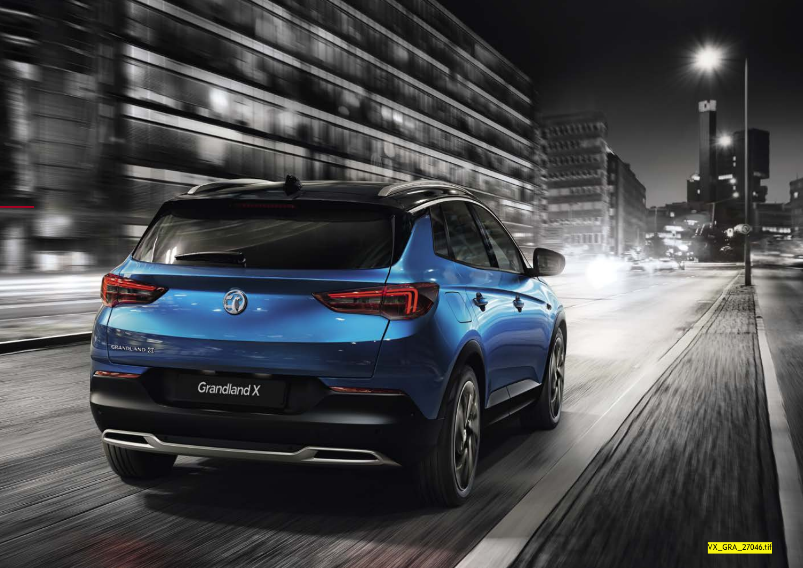